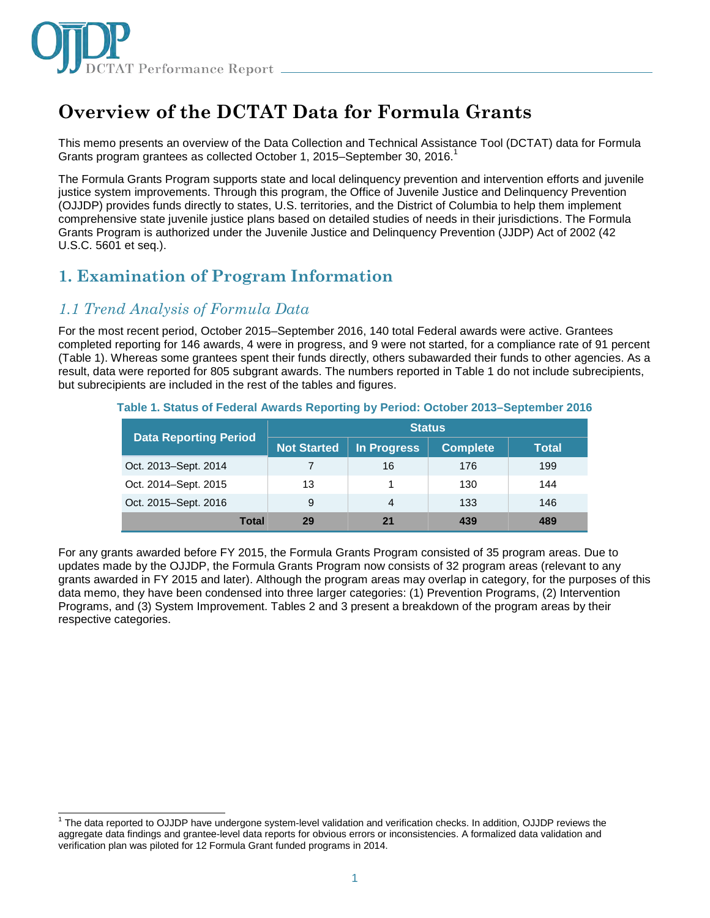

# **Overview of the DCTAT Data for Formula Grants**

This memo presents an overview of the Data Collection and Technical Assistance Tool (DCTAT) data for Formula Grants program grantees as collected October 1, 2015-September 30, 2016.<sup>1</sup>

The Formula Grants Program supports state and local delinquency prevention and intervention efforts and juvenile justice system improvements. Through this program, the Office of Juvenile Justice and Delinquency Prevention (OJJDP) provides funds directly to states, U.S. territories, and the District of Columbia to help them implement comprehensive state juvenile justice plans based on detailed studies of needs in their jurisdictions. The Formula Grants Program is authorized under the Juvenile Justice and Delinquency Prevention (JJDP) Act of 2002 (42 U.S.C. 5601 et seq.).

# **1. Examination of Program Information**

### *1.1 Trend Analysis of Formula Data*

j

For the most recent period, October 2015–September 2016, 140 total Federal awards were active. Grantees completed reporting for 146 awards, 4 were in progress, and 9 were not started, for a compliance rate of 91 percent (Table 1). Whereas some grantees spent their funds directly, others subawarded their funds to other agencies. As a result, data were reported for 805 subgrant awards. The numbers reported in Table 1 do not include subrecipients, but subrecipients are included in the rest of the tables and figures.

| Table 1. Status of Federal Awards Reporting by Period: October 2013–September 2016 |  |
|------------------------------------------------------------------------------------|--|
|------------------------------------------------------------------------------------|--|

|                              | <b>Status</b>      |                |                 |       |
|------------------------------|--------------------|----------------|-----------------|-------|
| <b>Data Reporting Period</b> | <b>Not Started</b> | In Progress    | <b>Complete</b> | Total |
| Oct. 2013-Sept. 2014         | 7                  | 16             | 176             | 199   |
| Oct. 2014–Sept. 2015         | 13                 |                | 130             | 144   |
| Oct. 2015-Sept. 2016         | 9                  | 4              | 133             | 146   |
| Total                        | 29                 | 2 <sub>1</sub> | 439             | 489   |

For any grants awarded before FY 2015, the Formula Grants Program consisted of 35 program areas. Due to updates made by the OJJDP, the Formula Grants Program now consists of 32 program areas (relevant to any grants awarded in FY 2015 and later). Although the program areas may overlap in category, for the purposes of this data memo, they have been condensed into three larger categories: (1) Prevention Programs, (2) Intervention Programs, and (3) System Improvement. Tables 2 and 3 present a breakdown of the program areas by their respective categories.

<sup>&</sup>lt;sup>1</sup> The data reported to OJJDP have undergone system-level validation and verification checks. In addition, OJJDP reviews the aggregate data findings and grantee-level data reports for obvious errors or inconsistencies. A formalized data validation and verification plan was piloted for 12 Formula Grant funded programs in 2014.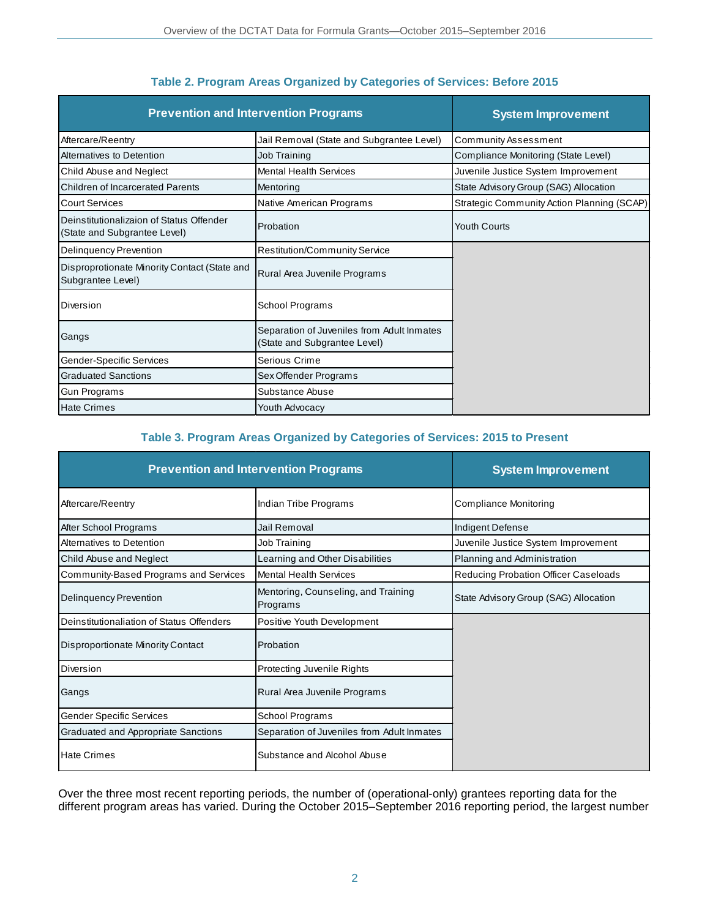| <b>Prevention and Intervention Programs</b>                              |                                                                            | <b>System Improvement</b>                  |
|--------------------------------------------------------------------------|----------------------------------------------------------------------------|--------------------------------------------|
| Aftercare/Reentry                                                        | Jail Removal (State and Subgrantee Level)                                  | <b>Community Assessment</b>                |
| Alternatives to Detention                                                | Job Training                                                               | Compliance Monitoring (State Level)        |
| Child Abuse and Neglect                                                  | <b>Mental Health Services</b>                                              | Juvenile Justice System Improvement        |
| <b>Children of Incarcerated Parents</b>                                  | Mentoring                                                                  | State Advisory Group (SAG) Allocation      |
| <b>Court Services</b>                                                    | Native American Programs                                                   | Strategic Community Action Planning (SCAP) |
| Deinstitutionalizaion of Status Offender<br>(State and Subgrantee Level) | Probation                                                                  | <b>Youth Courts</b>                        |
| <b>Delinquency Prevention</b>                                            | <b>Restitution/Community Service</b>                                       |                                            |
| Disproprotionate Minority Contact (State and<br>Subgrantee Level)        | Rural Area Juvenile Programs                                               |                                            |
| Diversion                                                                | School Programs                                                            |                                            |
| Gangs                                                                    | Separation of Juveniles from Adult Inmates<br>(State and Subgrantee Level) |                                            |
| Gender-Specific Services                                                 | Serious Crime                                                              |                                            |
| <b>Graduated Sanctions</b>                                               | Sex Offender Programs                                                      |                                            |
| Gun Programs                                                             | Substance Abuse                                                            |                                            |
| <b>Hate Crimes</b>                                                       | Youth Advocacy                                                             |                                            |

### **Table 2. Program Areas Organized by Categories of Services: Before 2015**

#### **Table 3. Program Areas Organized by Categories of Services: 2015 to Present**

| <b>Prevention and Intervention Programs</b> |                                                 | <b>System Improvement</b>             |
|---------------------------------------------|-------------------------------------------------|---------------------------------------|
| Aftercare/Reentry                           | Indian Tribe Programs                           | Compliance Monitoring                 |
| After School Programs                       | Jail Removal                                    | Indigent Defense                      |
| Alternatives to Detention                   | Job Training                                    | Juvenile Justice System Improvement   |
| Child Abuse and Neglect                     | Learning and Other Disabilities                 | Planning and Administration           |
| Community-Based Programs and Services       | <b>Mental Health Services</b>                   | Reducing Probation Officer Caseloads  |
| <b>Delinquency Prevention</b>               | Mentoring, Counseling, and Training<br>Programs | State Advisory Group (SAG) Allocation |
| Deinstitutionaliation of Status Offenders   | Positive Youth Development                      |                                       |
| <b>Disproportionate Minority Contact</b>    | Probation                                       |                                       |
| Diversion                                   | Protecting Juvenile Rights                      |                                       |
| Gangs                                       | Rural Area Juvenile Programs                    |                                       |
| <b>Gender Specific Services</b>             | School Programs                                 |                                       |
| Graduated and Appropriate Sanctions         | Separation of Juveniles from Adult Inmates      |                                       |
| <b>Hate Crimes</b>                          | Substance and Alcohol Abuse                     |                                       |

Over the three most recent reporting periods, the number of (operational-only) grantees reporting data for the different program areas has varied. During the October 2015–September 2016 reporting period, the largest number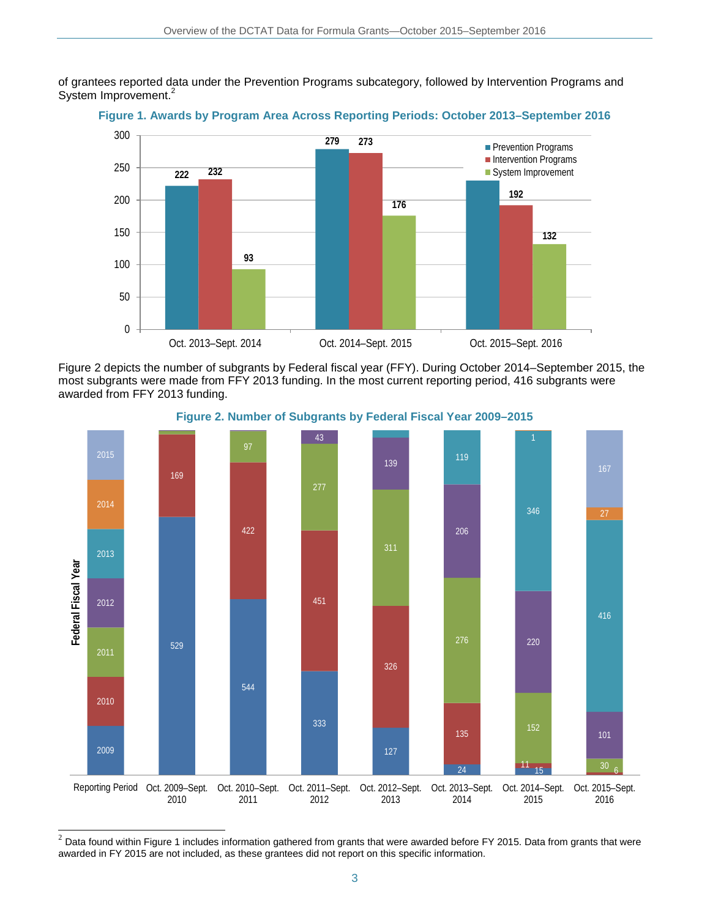of grantees reported data under the Prevention Programs subcategory, followed by Intervention Programs and System Improvement.<sup>2</sup>



**Figure 1. Awards by Program Area Across Reporting Periods: October 2013–September 2016**

Figure 2 depicts the number of subgrants by Federal fiscal year (FFY). During October 2014–September 2015, the most subgrants were made from FFY 2013 funding. In the most current reporting period, 416 subgrants were awarded from FFY 2013 funding.



**Figure 2. Number of Subgrants by Federal Fiscal Year 2009–2015**

 $^2$  Data found within Figure 1 includes information gathered from grants that were awarded before FY 2015. Data from grants that were awarded in FY 2015 are not included, as these grantees did not report on this specific information.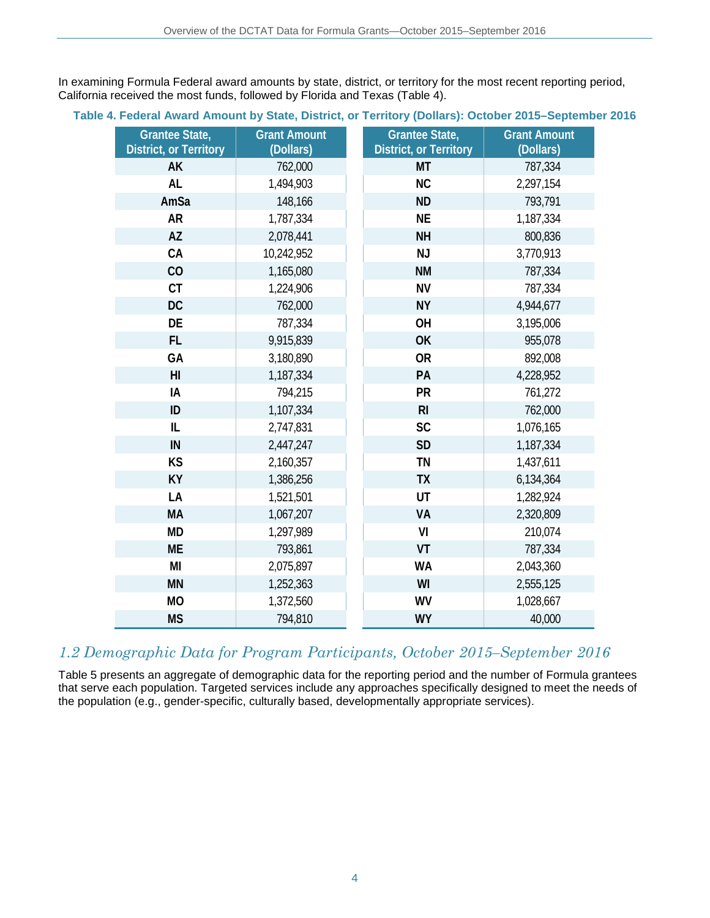In examining Formula Federal award amounts by state, district, or territory for the most recent reporting period, California received the most funds, followed by Florida and Texas (Table 4).

#### **Table 4. Federal Award Amount by State, District, or Territory (Dollars): October 2015–September 2016**

| <b>Grantee State,</b><br><b>District, or Territory</b> | <b>Grant Amount</b><br>(Dollars) | <b>Grantee State,</b><br><b>District, or Territory</b> | <b>Grant Amount</b><br>(Dollars) |
|--------------------------------------------------------|----------------------------------|--------------------------------------------------------|----------------------------------|
| AK                                                     | 762,000                          | MT                                                     | 787,334                          |
| <b>AL</b>                                              | 1,494,903                        | <b>NC</b>                                              | 2,297,154                        |
| AmSa                                                   | 148,166                          | <b>ND</b>                                              | 793,791                          |
| <b>AR</b>                                              | 1,787,334                        | <b>NE</b>                                              | 1,187,334                        |
| <b>AZ</b>                                              | 2,078,441                        | <b>NH</b>                                              | 800,836                          |
| CA                                                     | 10,242,952                       | <b>NJ</b>                                              | 3,770,913                        |
| CO                                                     | 1,165,080                        | <b>NM</b>                                              | 787,334                          |
| <b>CT</b>                                              | 1,224,906                        | <b>NV</b>                                              | 787,334                          |
| <b>DC</b>                                              | 762,000                          | <b>NY</b>                                              | 4,944,677                        |
| DE                                                     | 787,334                          | OH                                                     | 3,195,006                        |
| FL.                                                    | 9,915,839                        | OK                                                     | 955,078                          |
| GA                                                     | 3,180,890                        | <b>OR</b>                                              | 892,008                          |
| H <sub>l</sub>                                         | 1,187,334                        | PA                                                     | 4,228,952                        |
| IA                                                     | 794,215                          | PR                                                     | 761,272                          |
| ID                                                     | 1,107,334                        | R <sub>l</sub>                                         | 762,000                          |
| IL                                                     | 2,747,831                        | SC                                                     | 1,076,165                        |
| IN                                                     | 2,447,247                        | <b>SD</b>                                              | 1,187,334                        |
| KS                                                     | 2,160,357                        | <b>TN</b>                                              | 1,437,611                        |
| KY                                                     | 1,386,256                        | <b>TX</b>                                              | 6,134,364                        |
| LA                                                     | 1,521,501                        | UT                                                     | 1,282,924                        |
| <b>MA</b>                                              | 1,067,207                        | VA                                                     | 2,320,809                        |
| <b>MD</b>                                              | 1,297,989                        | VI                                                     | 210,074                          |
| <b>ME</b>                                              | 793,861                          | VT                                                     | 787,334                          |
| MI                                                     | 2,075,897                        | <b>WA</b>                                              | 2,043,360                        |
| <b>MN</b>                                              | 1,252,363                        | WI                                                     | 2,555,125                        |
| <b>MO</b>                                              | 1,372,560                        | <b>WV</b>                                              | 1,028,667                        |
| <b>MS</b>                                              | 794,810                          | <b>WY</b>                                              | 40,000                           |

### *1.2 Demographic Data for Program Participants, October 2015–September 2016*

Table 5 presents an aggregate of demographic data for the reporting period and the number of Formula grantees that serve each population. Targeted services include any approaches specifically designed to meet the needs of the population (e.g., gender-specific, culturally based, developmentally appropriate services).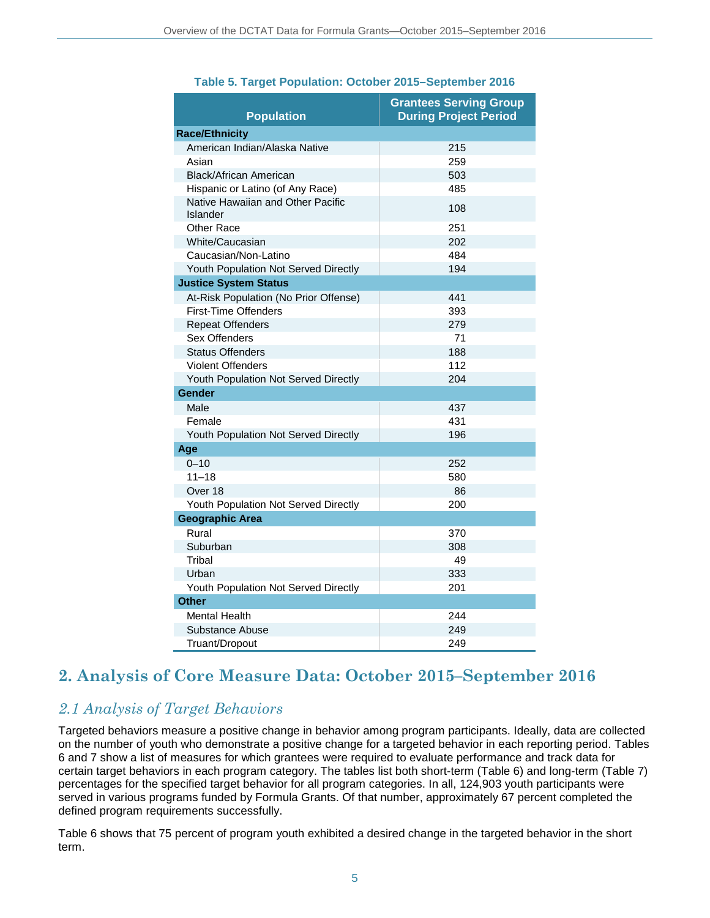| <b>Population</b>                             | <b>Grantees Serving Group</b><br><b>During Project Period</b> |
|-----------------------------------------------|---------------------------------------------------------------|
| <b>Race/Ethnicity</b>                         |                                                               |
| American Indian/Alaska Native                 | 215                                                           |
| Asian                                         | 259                                                           |
| <b>Black/African American</b>                 | 503                                                           |
| Hispanic or Latino (of Any Race)              | 485                                                           |
| Native Hawaiian and Other Pacific<br>Islander | 108                                                           |
| Other Race                                    | 251                                                           |
| <b>White/Caucasian</b>                        | 202                                                           |
| Caucasian/Non-Latino                          | 484                                                           |
| Youth Population Not Served Directly          | 194                                                           |
| <b>Justice System Status</b>                  |                                                               |
| At-Risk Population (No Prior Offense)         | 441                                                           |
| <b>First-Time Offenders</b>                   | 393                                                           |
| <b>Repeat Offenders</b>                       | 279                                                           |
| Sex Offenders                                 | 71                                                            |
| <b>Status Offenders</b>                       | 188                                                           |
| <b>Violent Offenders</b>                      | 112                                                           |
| Youth Population Not Served Directly          | 204                                                           |
| Gender                                        |                                                               |
| Male                                          | 437                                                           |
| Female                                        | 431                                                           |
| Youth Population Not Served Directly          | 196                                                           |
| Age                                           |                                                               |
| $0 - 10$                                      | 252                                                           |
| $11 - 18$                                     | 580                                                           |
| Over 18                                       | 86                                                            |
| Youth Population Not Served Directly          | 200                                                           |
| <b>Geographic Area</b>                        |                                                               |
| Rural                                         | 370                                                           |
| Suburban                                      | 308                                                           |
| Tribal                                        | 49                                                            |
| Urban                                         | 333                                                           |
| Youth Population Not Served Directly          | 201                                                           |
| <b>Other</b>                                  |                                                               |
| <b>Mental Health</b>                          | 244                                                           |
| Substance Abuse                               | 249                                                           |
| Truant/Dropout                                | 249                                                           |

#### **Table 5. Target Population: October 2015–September 2016**

# **2. Analysis of Core Measure Data: October 2015–September 2016**

### *2.1 Analysis of Target Behaviors*

Targeted behaviors measure a positive change in behavior among program participants. Ideally, data are collected on the number of youth who demonstrate a positive change for a targeted behavior in each reporting period. Tables 6 and 7 show a list of measures for which grantees were required to evaluate performance and track data for certain target behaviors in each program category. The tables list both short-term (Table 6) and long-term (Table 7) percentages for the specified target behavior for all program categories. In all, 124,903 youth participants were served in various programs funded by Formula Grants. Of that number, approximately 67 percent completed the defined program requirements successfully.

Table 6 shows that 75 percent of program youth exhibited a desired change in the targeted behavior in the short term.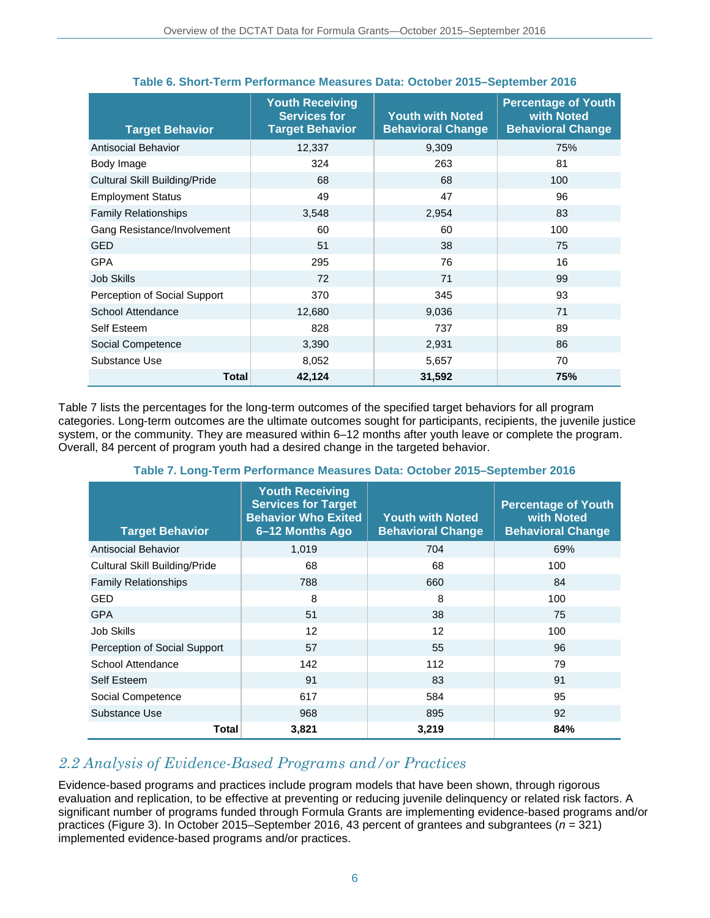| <b>Target Behavior</b>               | <b>Youth Receiving</b><br><b>Services for</b><br><b>Target Behavior</b> | <b>Youth with Noted</b><br><b>Behavioral Change</b> | <b>Percentage of Youth</b><br>with Noted<br><b>Behavioral Change</b> |
|--------------------------------------|-------------------------------------------------------------------------|-----------------------------------------------------|----------------------------------------------------------------------|
| Antisocial Behavior                  | 12,337                                                                  | 9,309                                               | 75%                                                                  |
| Body Image                           | 324                                                                     | 263                                                 | 81                                                                   |
| <b>Cultural Skill Building/Pride</b> | 68                                                                      | 68                                                  | 100                                                                  |
| <b>Employment Status</b>             | 49                                                                      | 47                                                  | 96                                                                   |
| <b>Family Relationships</b>          | 3,548                                                                   | 2,954                                               | 83                                                                   |
| Gang Resistance/Involvement          | 60                                                                      | 60                                                  | 100                                                                  |
| <b>GED</b>                           | 51                                                                      | 38                                                  | 75                                                                   |
| <b>GPA</b>                           | 295                                                                     | 76                                                  | 16                                                                   |
| <b>Job Skills</b>                    | 72                                                                      | 71                                                  | 99                                                                   |
| Perception of Social Support         | 370                                                                     | 345                                                 | 93                                                                   |
| <b>School Attendance</b>             | 12,680                                                                  | 9,036                                               | 71                                                                   |
| Self Esteem                          | 828                                                                     | 737                                                 | 89                                                                   |
| Social Competence                    | 3,390                                                                   | 2,931                                               | 86                                                                   |
| Substance Use                        | 8,052                                                                   | 5,657                                               | 70                                                                   |
| <b>Total</b>                         | 42,124                                                                  | 31,592                                              | 75%                                                                  |

### **Table 6. Short-Term Performance Measures Data: October 2015–September 2016**

Table 7 lists the percentages for the long-term outcomes of the specified target behaviors for all program categories. Long-term outcomes are the ultimate outcomes sought for participants, recipients, the juvenile justice system, or the community. They are measured within 6–12 months after youth leave or complete the program. Overall, 84 percent of program youth had a desired change in the targeted behavior.

| <b>Target Behavior</b>        | <b>Youth Receiving</b><br><b>Services for Target</b><br><b>Behavior Who Exited</b><br>6-12 Months Ago | <b>Youth with Noted</b><br><b>Behavioral Change</b> | <b>Percentage of Youth</b><br>with Noted<br><b>Behavioral Change</b> |
|-------------------------------|-------------------------------------------------------------------------------------------------------|-----------------------------------------------------|----------------------------------------------------------------------|
| Antisocial Behavior           | 1,019                                                                                                 | 704                                                 | 69%                                                                  |
| Cultural Skill Building/Pride | 68                                                                                                    | 68                                                  | 100                                                                  |
| <b>Family Relationships</b>   | 788                                                                                                   | 660                                                 | 84                                                                   |
| GED                           | 8                                                                                                     | 8                                                   | 100                                                                  |
| <b>GPA</b>                    | 51                                                                                                    | 38                                                  | 75                                                                   |
| Job Skills                    | 12                                                                                                    | $12 \overline{ }$                                   | 100                                                                  |
| Perception of Social Support  | 57                                                                                                    | 55                                                  | 96                                                                   |
| <b>School Attendance</b>      | 142                                                                                                   | 112                                                 | 79                                                                   |
| Self Esteem                   | 91                                                                                                    | 83                                                  | 91                                                                   |
| Social Competence             | 617                                                                                                   | 584                                                 | 95                                                                   |
| Substance Use                 | 968                                                                                                   | 895                                                 | 92                                                                   |

#### **Table 7. Long-Term Performance Measures Data: October 2015–September 2016**

### *2.2 Analysis of Evidence-Based Programs and/or Practices*

Evidence-based programs and practices include program models that have been shown, through rigorous evaluation and replication, to be effective at preventing or reducing juvenile delinquency or related risk factors. A significant number of programs funded through Formula Grants are implementing evidence-based programs and/or practices (Figure 3). In October 2015–September 2016, 43 percent of grantees and subgrantees (*n* = 321) implemented evidence-based programs and/or practices.

**Total 3,821 3,219 84%**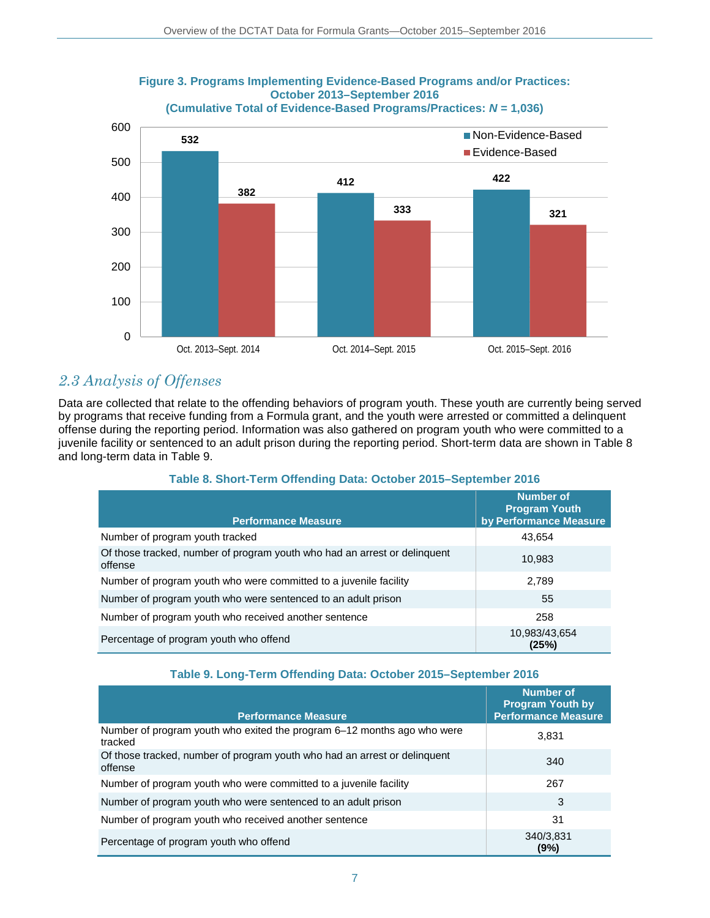

### **Figure 3. Programs Implementing Evidence-Based Programs and/or Practices: October 2013–September 2016**

### *2.3 Analysis of Offenses*

Data are collected that relate to the offending behaviors of program youth. These youth are currently being served by programs that receive funding from a Formula grant, and the youth were arrested or committed a delinquent offense during the reporting period. Information was also gathered on program youth who were committed to a juvenile facility or sentenced to an adult prison during the reporting period. Short-term data are shown in Table 8 and long-term data in Table 9.

| <b>Performance Measure</b>                                                           | <b>Number of</b><br><b>Program Youth</b><br>by Performance Measure |
|--------------------------------------------------------------------------------------|--------------------------------------------------------------------|
| Number of program youth tracked                                                      | 43,654                                                             |
| Of those tracked, number of program youth who had an arrest or delinguent<br>offense | 10,983                                                             |
| Number of program youth who were committed to a juvenile facility                    | 2,789                                                              |
| Number of program youth who were sentenced to an adult prison                        | 55                                                                 |
| Number of program youth who received another sentence                                | 258                                                                |
| Percentage of program youth who offend                                               | 10,983/43,654<br>(25%)                                             |

### **Table 8. Short-Term Offending Data: October 2015–September 2016**

#### **Table 9. Long-Term Offending Data: October 2015–September 2016**

| <b>Performance Measure</b>                                                           | <b>Number of</b><br><b>Program Youth by</b><br><b>Performance Measure</b> |
|--------------------------------------------------------------------------------------|---------------------------------------------------------------------------|
| Number of program youth who exited the program 6–12 months ago who were<br>tracked   | 3,831                                                                     |
| Of those tracked, number of program youth who had an arrest or delinguent<br>offense | 340                                                                       |
| Number of program youth who were committed to a juvenile facility                    | 267                                                                       |
| Number of program youth who were sentenced to an adult prison                        | 3                                                                         |
| Number of program youth who received another sentence                                | 31                                                                        |
| Percentage of program youth who offend                                               | 340/3,831<br>(9%)                                                         |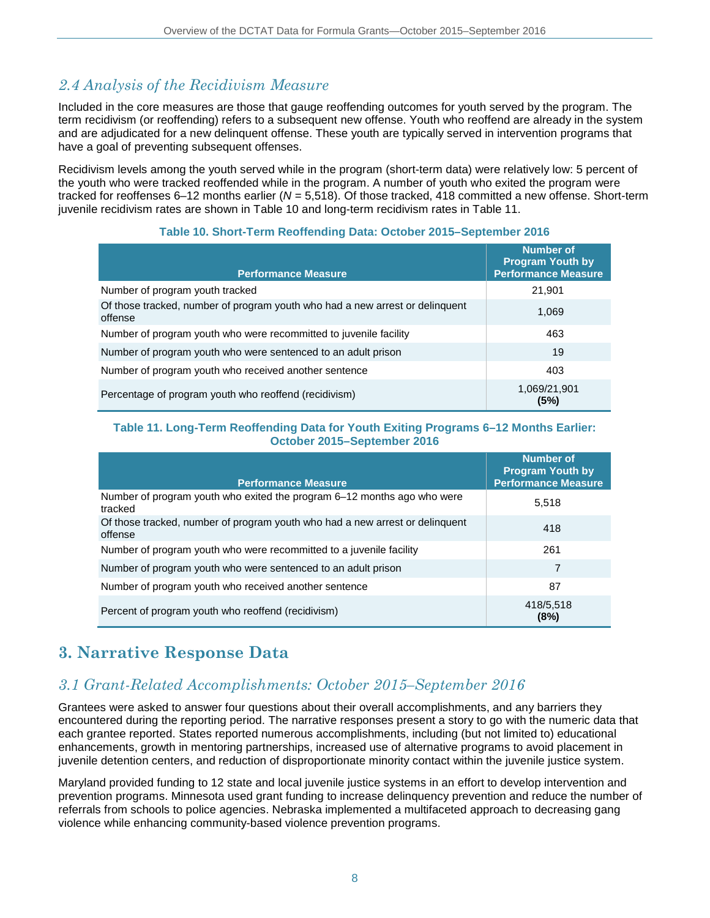# *2.4 Analysis of the Recidivism Measure*

Included in the core measures are those that gauge reoffending outcomes for youth served by the program. The term recidivism (or reoffending) refers to a subsequent new offense. Youth who reoffend are already in the system and are adjudicated for a new delinquent offense. These youth are typically served in intervention programs that have a goal of preventing subsequent offenses.

Recidivism levels among the youth served while in the program (short-term data) were relatively low: 5 percent of the youth who were tracked reoffended while in the program. A number of youth who exited the program were tracked for reoffenses 6–12 months earlier (*N* = 5,518). Of those tracked, 418 committed a new offense. Short-term juvenile recidivism rates are shown in Table 10 and long-term recidivism rates in Table 11.

| <b>Performance Measure</b>                                                              | <b>Number of</b><br><b>Program Youth by</b><br><b>Performance Measure</b> |
|-----------------------------------------------------------------------------------------|---------------------------------------------------------------------------|
| Number of program youth tracked                                                         | 21,901                                                                    |
| Of those tracked, number of program youth who had a new arrest or delinquent<br>offense | 1,069                                                                     |
| Number of program youth who were recommitted to juvenile facility                       | 463                                                                       |
| Number of program youth who were sentenced to an adult prison                           | 19                                                                        |
| Number of program youth who received another sentence                                   | 403                                                                       |
| Percentage of program youth who reoffend (recidivism)                                   | 1,069/21,901<br>(5%)                                                      |

#### **Table 10. Short-Term Reoffending Data: October 2015–September 2016**

#### **Table 11. Long-Term Reoffending Data for Youth Exiting Programs 6–12 Months Earlier: October 2015–September 2016**

| <b>Performance Measure</b>                                                              | Number of<br><b>Program Youth by</b><br><b>Performance Measure</b> |
|-----------------------------------------------------------------------------------------|--------------------------------------------------------------------|
|                                                                                         |                                                                    |
| Number of program youth who exited the program 6–12 months ago who were<br>tracked      | 5.518                                                              |
| Of those tracked, number of program youth who had a new arrest or delinquent<br>offense | 418                                                                |
| Number of program youth who were recommitted to a juvenile facility                     | 261                                                                |
| Number of program youth who were sentenced to an adult prison                           | 7                                                                  |
| Number of program youth who received another sentence                                   | 87                                                                 |
| Percent of program youth who reoffend (recidivism)                                      | 418/5,518<br>(8%)                                                  |

# **3. Narrative Response Data**

### *3.1 Grant-Related Accomplishments: October 2015–September 2016*

Grantees were asked to answer four questions about their overall accomplishments, and any barriers they encountered during the reporting period. The narrative responses present a story to go with the numeric data that each grantee reported. States reported numerous accomplishments, including (but not limited to) educational enhancements, growth in mentoring partnerships, increased use of alternative programs to avoid placement in juvenile detention centers, and reduction of disproportionate minority contact within the juvenile justice system.

Maryland provided funding to 12 state and local juvenile justice systems in an effort to develop intervention and prevention programs. Minnesota used grant funding to increase delinquency prevention and reduce the number of referrals from schools to police agencies. Nebraska implemented a multifaceted approach to decreasing gang violence while enhancing community-based violence prevention programs.